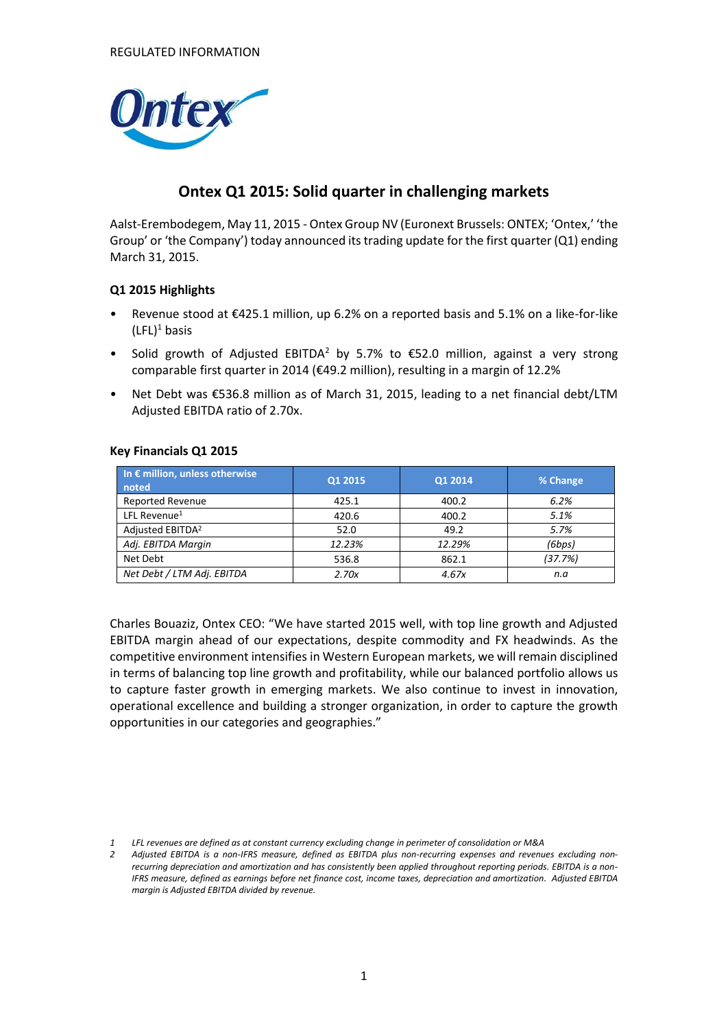

## **Ontex Q1 2015: Solid quarter in challenging markets**

Aalst-Erembodegem, May 11, 2015 - Ontex Group NV (Euronext Brussels: ONTEX; 'Ontex,' 'the Group' or 'the Company') today announced its trading update for the first quarter (Q1) ending March 31, 2015.

#### **Q1 2015 Highlights**

- Revenue stood at €425.1 million, up 6.2% on a reported basis and 5.1% on a like-for-like  $(LFL)^1$  basis
- Solid growth of Adjusted EBITDA<sup>2</sup> by 5.7% to  $\epsilon$ 52.0 million, against a very strong comparable first quarter in 2014 (€49.2 million), resulting in a margin of 12.2%
- Net Debt was €536.8 million as of March 31, 2015, leading to a net financial debt/LTM Adjusted EBITDA ratio of 2.70x.

| In $\epsilon$ million, unless otherwise<br>noted | Q1 2015 | Q1 2014 | % Change |
|--------------------------------------------------|---------|---------|----------|
| <b>Reported Revenue</b>                          | 425.1   | 400.2   | 6.2%     |
| LFL Revenue <sup>1</sup>                         | 420.6   | 400.2   | 5.1%     |
| Adjusted EBITDA <sup>2</sup>                     | 52.0    | 49.2    | 5.7%     |
| Adj. EBITDA Margin                               | 12.23%  | 12.29%  | (6bps)   |
| Net Debt                                         | 536.8   | 862.1   | (37.7%)  |
| Net Debt / LTM Adj. EBITDA                       | 2.70x   | 4.67x   | n.a      |

#### **Key Financials Q1 2015**

Charles Bouaziz, Ontex CEO: "We have started 2015 well, with top line growth and Adjusted EBITDA margin ahead of our expectations, despite commodity and FX headwinds. As the competitive environment intensifies in Western European markets, we will remain disciplined in terms of balancing top line growth and profitability, while our balanced portfolio allows us to capture faster growth in emerging markets. We also continue to invest in innovation, operational excellence and building a stronger organization, in order to capture the growth opportunities in our categories and geographies."

*1 LFL revenues are defined as at constant currency excluding change in perimeter of consolidation or M&A*

*2 Adjusted EBITDA is a non-IFRS measure, defined as EBITDA plus non-recurring expenses and revenues excluding nonrecurring depreciation and amortization and has consistently been applied throughout reporting periods. EBITDA is a non-IFRS measure, defined as earnings before net finance cost, income taxes, depreciation and amortization. Adjusted EBITDA margin is Adjusted EBITDA divided by revenue.*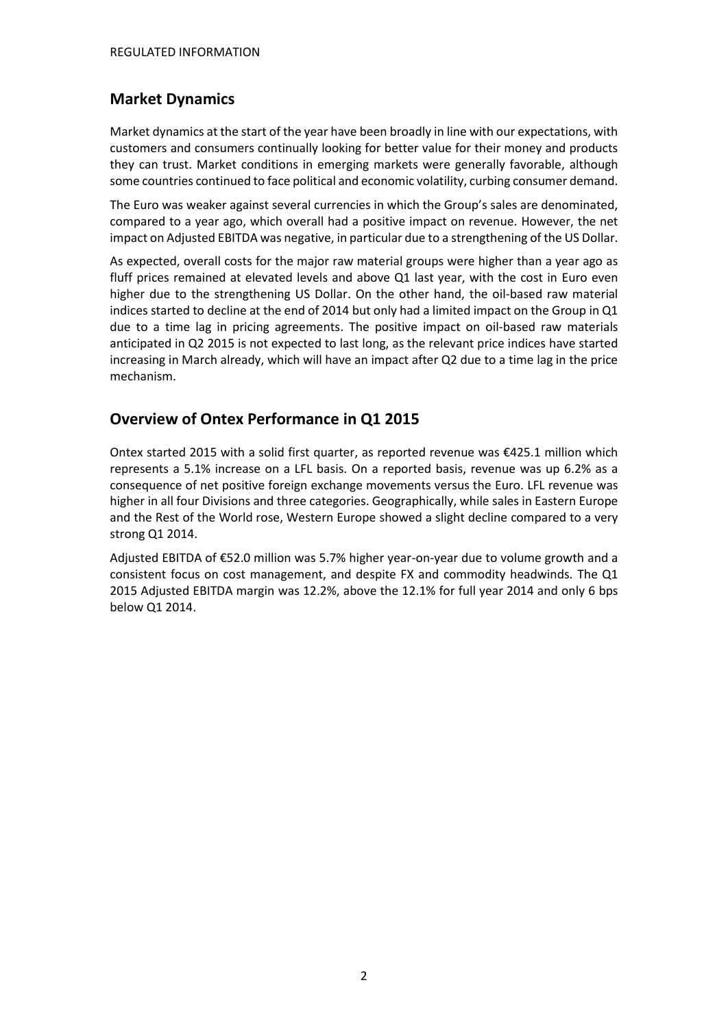## **Market Dynamics**

Market dynamics at the start of the year have been broadly in line with our expectations, with customers and consumers continually looking for better value for their money and products they can trust. Market conditions in emerging markets were generally favorable, although some countries continued to face political and economic volatility, curbing consumer demand.

The Euro was weaker against several currencies in which the Group's sales are denominated, compared to a year ago, which overall had a positive impact on revenue. However, the net impact on Adjusted EBITDA was negative, in particular due to a strengthening of the US Dollar.

As expected, overall costs for the major raw material groups were higher than a year ago as fluff prices remained at elevated levels and above Q1 last year, with the cost in Euro even higher due to the strengthening US Dollar. On the other hand, the oil-based raw material indices started to decline at the end of 2014 but only had a limited impact on the Group in Q1 due to a time lag in pricing agreements. The positive impact on oil-based raw materials anticipated in Q2 2015 is not expected to last long, as the relevant price indices have started increasing in March already, which will have an impact after Q2 due to a time lag in the price mechanism.

## **Overview of Ontex Performance in Q1 2015**

Ontex started 2015 with a solid first quarter, as reported revenue was €425.1 million which represents a 5.1% increase on a LFL basis. On a reported basis, revenue was up 6.2% as a consequence of net positive foreign exchange movements versus the Euro. LFL revenue was higher in all four Divisions and three categories. Geographically, while sales in Eastern Europe and the Rest of the World rose, Western Europe showed a slight decline compared to a very strong Q1 2014.

Adjusted EBITDA of €52.0 million was 5.7% higher year-on-year due to volume growth and a consistent focus on cost management, and despite FX and commodity headwinds. The Q1 2015 Adjusted EBITDA margin was 12.2%, above the 12.1% for full year 2014 and only 6 bps below Q1 2014.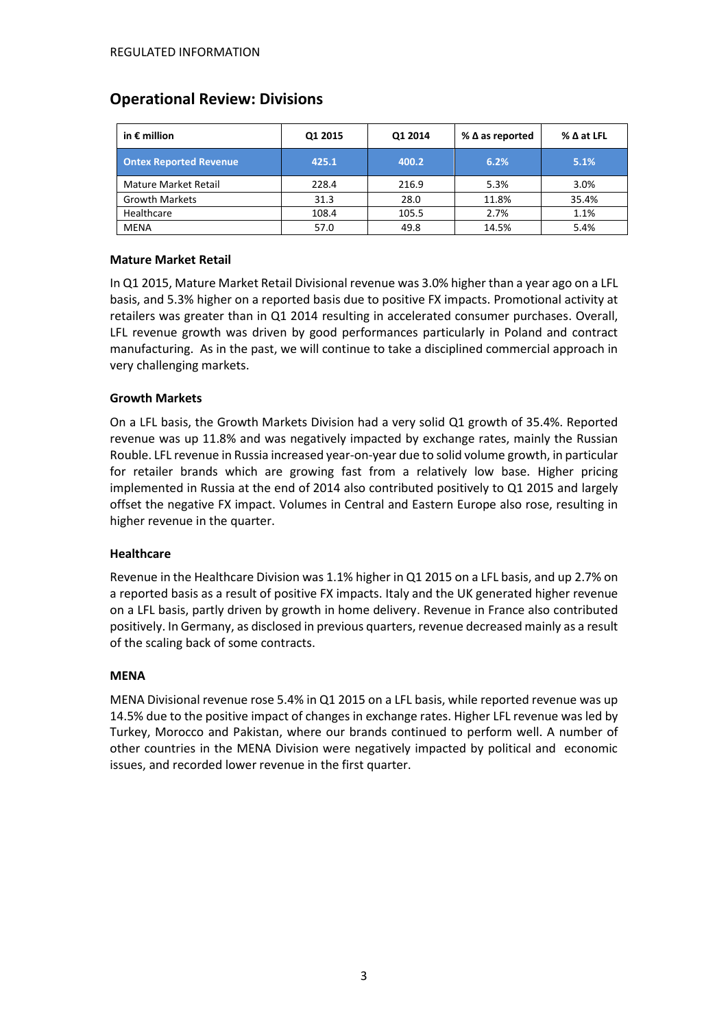## **Operational Review: Divisions**

| in $\epsilon$ million         | Q1 2015 | Q1 2014 | % $\Delta$ as reported | $\%$ $\Delta$ at LFL |
|-------------------------------|---------|---------|------------------------|----------------------|
| <b>Ontex Reported Revenue</b> | 425.1   | 400.2   | 6.2%                   | 5.1%                 |
| <b>Mature Market Retail</b>   | 228.4   | 216.9   | 5.3%                   | 3.0%                 |
| <b>Growth Markets</b>         | 31.3    | 28.0    | 11.8%                  | 35.4%                |
| Healthcare                    | 108.4   | 105.5   | 2.7%                   | 1.1%                 |
| MENA                          | 57.0    | 49.8    | 14.5%                  | 5.4%                 |

#### **Mature Market Retail**

In Q1 2015, Mature Market Retail Divisional revenue was 3.0% higher than a year ago on a LFL basis, and 5.3% higher on a reported basis due to positive FX impacts. Promotional activity at retailers was greater than in Q1 2014 resulting in accelerated consumer purchases. Overall, LFL revenue growth was driven by good performances particularly in Poland and contract manufacturing. As in the past, we will continue to take a disciplined commercial approach in very challenging markets.

#### **Growth Markets**

On a LFL basis, the Growth Markets Division had a very solid Q1 growth of 35.4%. Reported revenue was up 11.8% and was negatively impacted by exchange rates, mainly the Russian Rouble. LFL revenue in Russia increased year-on-year due to solid volume growth, in particular for retailer brands which are growing fast from a relatively low base. Higher pricing implemented in Russia at the end of 2014 also contributed positively to Q1 2015 and largely offset the negative FX impact. Volumes in Central and Eastern Europe also rose, resulting in higher revenue in the quarter.

#### **Healthcare**

Revenue in the Healthcare Division was 1.1% higher in Q1 2015 on a LFL basis, and up 2.7% on a reported basis as a result of positive FX impacts. Italy and the UK generated higher revenue on a LFL basis, partly driven by growth in home delivery. Revenue in France also contributed positively. In Germany, as disclosed in previous quarters, revenue decreased mainly as a result of the scaling back of some contracts.

#### **MENA**

MENA Divisional revenue rose 5.4% in Q1 2015 on a LFL basis, while reported revenue was up 14.5% due to the positive impact of changes in exchange rates. Higher LFL revenue was led by Turkey, Morocco and Pakistan, where our brands continued to perform well. A number of other countries in the MENA Division were negatively impacted by political and economic issues, and recorded lower revenue in the first quarter.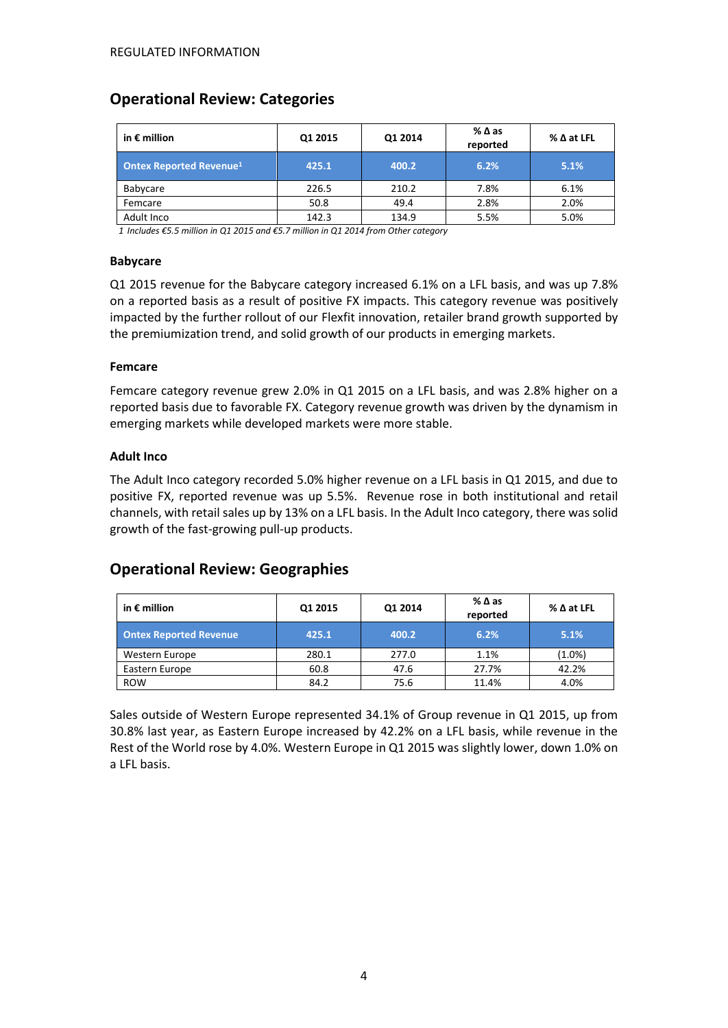# **Operational Review: Categories**

| in $\epsilon$ million          | Q1 2015 | Q1 2014 | %∆as<br>reported | $\%$ $\Delta$ at LFL |
|--------------------------------|---------|---------|------------------|----------------------|
| <b>Ontex Reported Revenue1</b> | 425.1   | 400.2   | 6.2%             | 5.1%                 |
| Babycare                       | 226.5   | 210.2   | 7.8%             | 6.1%                 |
| Femcare                        | 50.8    | 49.4    | 2.8%             | 2.0%                 |
| Adult Inco                     | 142.3   | 134.9   | 5.5%             | 5.0%                 |

*1 Includes €5.5 million in Q1 2015 and €5.7 million in Q1 2014 from Other category*

### **Babycare**

Q1 2015 revenue for the Babycare category increased 6.1% on a LFL basis, and was up 7.8% on a reported basis as a result of positive FX impacts. This category revenue was positively impacted by the further rollout of our Flexfit innovation, retailer brand growth supported by the premiumization trend, and solid growth of our products in emerging markets.

#### **Femcare**

Femcare category revenue grew 2.0% in Q1 2015 on a LFL basis, and was 2.8% higher on a reported basis due to favorable FX. Category revenue growth was driven by the dynamism in emerging markets while developed markets were more stable.

#### **Adult Inco**

The Adult Inco category recorded 5.0% higher revenue on a LFL basis in Q1 2015, and due to positive FX, reported revenue was up 5.5%. Revenue rose in both institutional and retail channels, with retail sales up by 13% on a LFL basis. In the Adult Inco category, there was solid growth of the fast-growing pull-up products.

### **Operational Review: Geographies**

| in $\epsilon$ million         | Q1 2015 | Q1 2014 | %∆as<br>reported | $%$ $\Delta$ at LFL |
|-------------------------------|---------|---------|------------------|---------------------|
| <b>Ontex Reported Revenue</b> | 425.1   | 400.2   | 6.2%             | 5.1%                |
| Western Europe                | 280.1   | 277.0   | 1.1%             | $(1.0\%)$           |
| Eastern Europe                | 60.8    | 47.6    | 27.7%            | 42.2%               |
| <b>ROW</b>                    | 84.2    | 75.6    | 11.4%            | 4.0%                |

Sales outside of Western Europe represented 34.1% of Group revenue in Q1 2015, up from 30.8% last year, as Eastern Europe increased by 42.2% on a LFL basis, while revenue in the Rest of the World rose by 4.0%. Western Europe in Q1 2015 was slightly lower, down 1.0% on a LFL basis.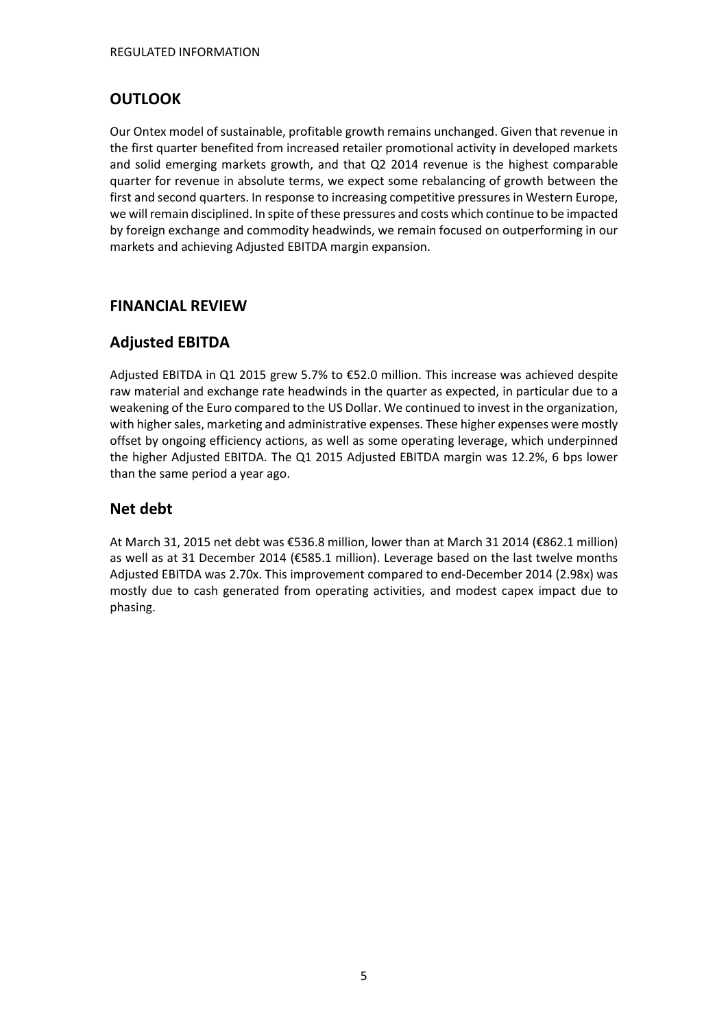# **OUTLOOK**

Our Ontex model of sustainable, profitable growth remains unchanged. Given that revenue in the first quarter benefited from increased retailer promotional activity in developed markets and solid emerging markets growth, and that Q2 2014 revenue is the highest comparable quarter for revenue in absolute terms, we expect some rebalancing of growth between the first and second quarters. In response to increasing competitive pressures in Western Europe, we will remain disciplined. In spite of these pressures and costs which continue to be impacted by foreign exchange and commodity headwinds, we remain focused on outperforming in our markets and achieving Adjusted EBITDA margin expansion.

## **FINANCIAL REVIEW**

# **Adjusted EBITDA**

Adjusted EBITDA in Q1 2015 grew 5.7% to €52.0 million. This increase was achieved despite raw material and exchange rate headwinds in the quarter as expected, in particular due to a weakening of the Euro compared to the US Dollar. We continued to invest in the organization, with higher sales, marketing and administrative expenses. These higher expenses were mostly offset by ongoing efficiency actions, as well as some operating leverage, which underpinned the higher Adjusted EBITDA. The Q1 2015 Adjusted EBITDA margin was 12.2%, 6 bps lower than the same period a year ago.

# **Net debt**

At March 31, 2015 net debt was €536.8 million, lower than at March 31 2014 (€862.1 million) as well as at 31 December 2014 (€585.1 million). Leverage based on the last twelve months Adjusted EBITDA was 2.70x. This improvement compared to end-December 2014 (2.98x) was mostly due to cash generated from operating activities, and modest capex impact due to phasing.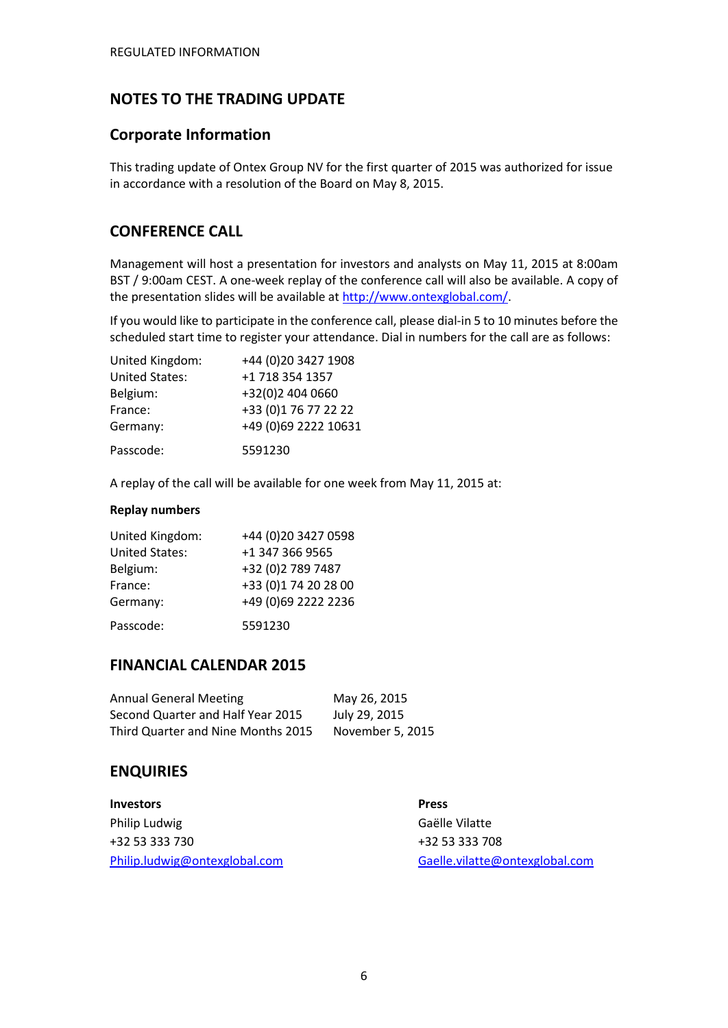## **NOTES TO THE TRADING UPDATE**

### **Corporate Information**

This trading update of Ontex Group NV for the first quarter of 2015 was authorized for issue in accordance with a resolution of the Board on May 8, 2015.

### **CONFERENCE CALL**

Management will host a presentation for investors and analysts on May 11, 2015 at 8:00am BST / 9:00am CEST. A one-week replay of the conference call will also be available. A copy of the presentation slides will be available a[t http://www.ontexglobal.com/.](http://www.ontexglobal.com/)

If you would like to participate in the conference call, please dial-in 5 to 10 minutes before the scheduled start time to register your attendance. Dial in numbers for the call are as follows:

| United Kingdom:       | +44 (0) 20 3427 1908 |
|-----------------------|----------------------|
| <b>United States:</b> | +1 718 354 1357      |
| Belgium:              | +32(0)2 404 0660     |
| France:               | +33 (0)1 76 77 22 22 |
| Germany:              | +49 (0)69 2222 10631 |
| Passcode:             | 5591230              |

A replay of the call will be available for one week from May 11, 2015 at:

#### **Replay numbers**

| United Kingdom:       | +44 (0)20 3427 0598  |
|-----------------------|----------------------|
| <b>United States:</b> | +1 347 366 9565      |
| Belgium:              | +32 (0)2 789 7487    |
| France:               | +33 (0)1 74 20 28 00 |
| Germany:              | +49 (0)69 2222 2236  |
| Passcode:             | 5591230              |

### **FINANCIAL CALENDAR 2015**

| <b>Annual General Meeting</b>      | May 26, 2015     |
|------------------------------------|------------------|
| Second Quarter and Half Year 2015  | July 29, 2015    |
| Third Quarter and Nine Months 2015 | November 5, 2015 |

### **ENQUIRIES**

| <b>Investors</b>              | <b>Press</b>                   |
|-------------------------------|--------------------------------|
| Philip Ludwig                 | Gaëlle Vilatte                 |
| +32 53 333 730                | +32 53 333 708                 |
| Philip.ludwig@ontexglobal.com | Gaelle.vilatte@ontexglobal.com |